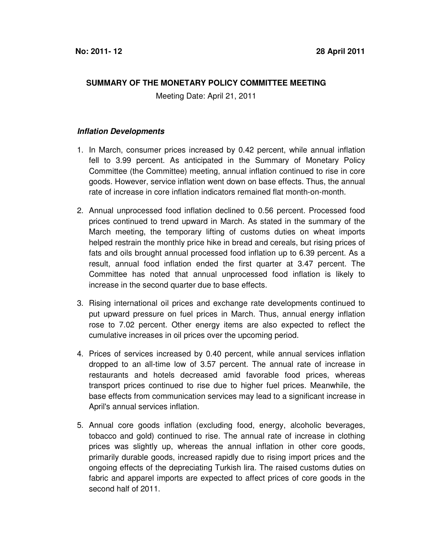## **SUMMARY OF THE MONETARY POLICY COMMITTEE MEETING**

Meeting Date: April 21, 2011

## **Inflation Developments**

- 1. In March, consumer prices increased by 0.42 percent, while annual inflation fell to 3.99 percent. As anticipated in the Summary of Monetary Policy Committee (the Committee) meeting, annual inflation continued to rise in core goods. However, service inflation went down on base effects. Thus, the annual rate of increase in core inflation indicators remained flat month-on-month.
- 2. Annual unprocessed food inflation declined to 0.56 percent. Processed food prices continued to trend upward in March. As stated in the summary of the March meeting, the temporary lifting of customs duties on wheat imports helped restrain the monthly price hike in bread and cereals, but rising prices of fats and oils brought annual processed food inflation up to 6.39 percent. As a result, annual food inflation ended the first quarter at 3.47 percent. The Committee has noted that annual unprocessed food inflation is likely to increase in the second quarter due to base effects.
- 3. Rising international oil prices and exchange rate developments continued to put upward pressure on fuel prices in March. Thus, annual energy inflation rose to 7.02 percent. Other energy items are also expected to reflect the cumulative increases in oil prices over the upcoming period.
- 4. Prices of services increased by 0.40 percent, while annual services inflation dropped to an all-time low of 3.57 percent. The annual rate of increase in restaurants and hotels decreased amid favorable food prices, whereas transport prices continued to rise due to higher fuel prices. Meanwhile, the base effects from communication services may lead to a significant increase in April's annual services inflation.
- 5. Annual core goods inflation (excluding food, energy, alcoholic beverages, tobacco and gold) continued to rise. The annual rate of increase in clothing prices was slightly up, whereas the annual inflation in other core goods, primarily durable goods, increased rapidly due to rising import prices and the ongoing effects of the depreciating Turkish lira. The raised customs duties on fabric and apparel imports are expected to affect prices of core goods in the second half of 2011.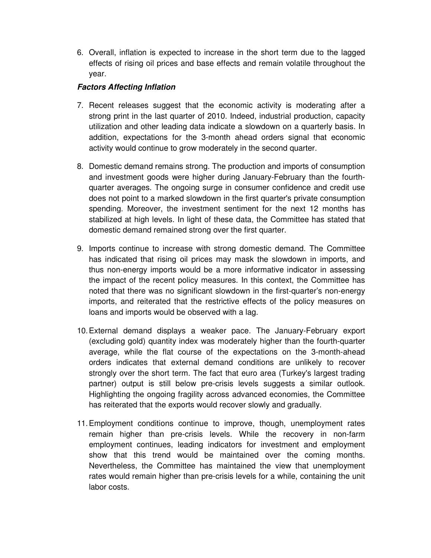6. Overall, inflation is expected to increase in the short term due to the lagged effects of rising oil prices and base effects and remain volatile throughout the year.

## **Factors Affecting Inflation**

- 7. Recent releases suggest that the economic activity is moderating after a strong print in the last quarter of 2010. Indeed, industrial production, capacity utilization and other leading data indicate a slowdown on a quarterly basis. In addition, expectations for the 3-month ahead orders signal that economic activity would continue to grow moderately in the second quarter.
- 8. Domestic demand remains strong. The production and imports of consumption and investment goods were higher during January-February than the fourthquarter averages. The ongoing surge in consumer confidence and credit use does not point to a marked slowdown in the first quarter's private consumption spending. Moreover, the investment sentiment for the next 12 months has stabilized at high levels. In light of these data, the Committee has stated that domestic demand remained strong over the first quarter.
- 9. Imports continue to increase with strong domestic demand. The Committee has indicated that rising oil prices may mask the slowdown in imports, and thus non-energy imports would be a more informative indicator in assessing the impact of the recent policy measures. In this context, the Committee has noted that there was no significant slowdown in the first-quarter's non-energy imports, and reiterated that the restrictive effects of the policy measures on loans and imports would be observed with a lag.
- 10. External demand displays a weaker pace. The January-February export (excluding gold) quantity index was moderately higher than the fourth-quarter average, while the flat course of the expectations on the 3-month-ahead orders indicates that external demand conditions are unlikely to recover strongly over the short term. The fact that euro area (Turkey's largest trading partner) output is still below pre-crisis levels suggests a similar outlook. Highlighting the ongoing fragility across advanced economies, the Committee has reiterated that the exports would recover slowly and gradually.
- 11. Employment conditions continue to improve, though, unemployment rates remain higher than pre-crisis levels. While the recovery in non-farm employment continues, leading indicators for investment and employment show that this trend would be maintained over the coming months. Nevertheless, the Committee has maintained the view that unemployment rates would remain higher than pre-crisis levels for a while, containing the unit labor costs.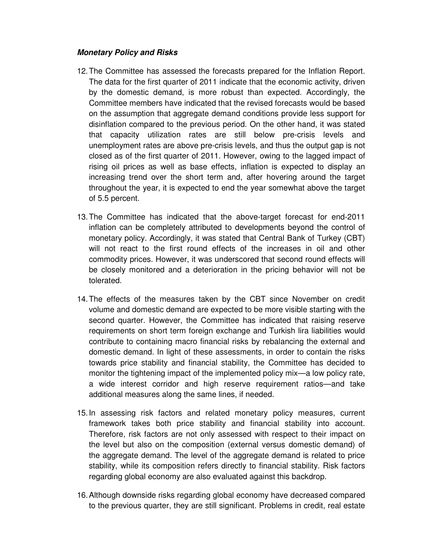## **Monetary Policy and Risks**

- 12. The Committee has assessed the forecasts prepared for the Inflation Report. The data for the first quarter of 2011 indicate that the economic activity, driven by the domestic demand, is more robust than expected. Accordingly, the Committee members have indicated that the revised forecasts would be based on the assumption that aggregate demand conditions provide less support for disinflation compared to the previous period. On the other hand, it was stated that capacity utilization rates are still below pre-crisis levels and unemployment rates are above pre-crisis levels, and thus the output gap is not closed as of the first quarter of 2011. However, owing to the lagged impact of rising oil prices as well as base effects, inflation is expected to display an increasing trend over the short term and, after hovering around the target throughout the year, it is expected to end the year somewhat above the target of 5.5 percent.
- 13. The Committee has indicated that the above-target forecast for end-2011 inflation can be completely attributed to developments beyond the control of monetary policy. Accordingly, it was stated that Central Bank of Turkey (CBT) will not react to the first round effects of the increases in oil and other commodity prices. However, it was underscored that second round effects will be closely monitored and a deterioration in the pricing behavior will not be tolerated.
- 14. The effects of the measures taken by the CBT since November on credit volume and domestic demand are expected to be more visible starting with the second quarter. However, the Committee has indicated that raising reserve requirements on short term foreign exchange and Turkish lira liabilities would contribute to containing macro financial risks by rebalancing the external and domestic demand. In light of these assessments, in order to contain the risks towards price stability and financial stability, the Committee has decided to monitor the tightening impact of the implemented policy mix—a low policy rate, a wide interest corridor and high reserve requirement ratios—and take additional measures along the same lines, if needed.
- 15. In assessing risk factors and related monetary policy measures, current framework takes both price stability and financial stability into account. Therefore, risk factors are not only assessed with respect to their impact on the level but also on the composition (external versus domestic demand) of the aggregate demand. The level of the aggregate demand is related to price stability, while its composition refers directly to financial stability. Risk factors regarding global economy are also evaluated against this backdrop.
- 16. Although downside risks regarding global economy have decreased compared to the previous quarter, they are still significant. Problems in credit, real estate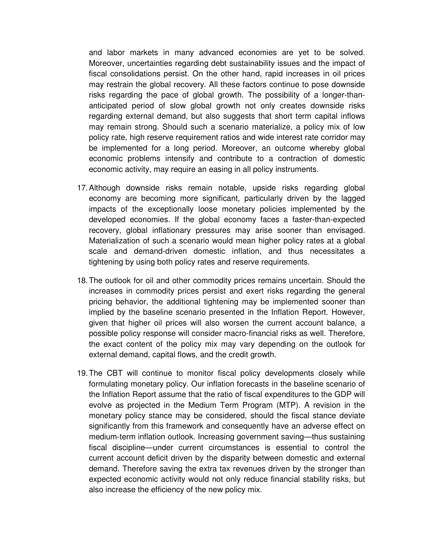and labor markets in many advanced economies are yet to be solved. Moreover, uncertainties regarding debt sustainability issues and the impact of fiscal consolidations persist. On the other hand, rapid increases in oil prices may restrain the global recovery. All these factors continue to pose downside risks regarding the pace of global growth. The possibility of a longer-thananticipated period of slow global growth not only creates downside risks regarding external demand, but also suggests that short term capital inflows may remain strong. Should such a scenario materialize, a policy mix of low policy rate, high reserve requirement ratios and wide interest rate corridor may be implemented for a long period. Moreover, an outcome whereby global economic problems intensify and contribute to a contraction of domestic economic activity, may require an easing in all policy instruments.

- 17. Although downside risks remain notable, upside risks regarding global economy are becoming more significant, particularly driven by the lagged impacts of the exceptionally loose monetary policies implemented by the developed economies. If the global economy faces a faster-than-expected recovery, global inflationary pressures may arise sooner than envisaged. Materialization of such a scenario would mean higher policy rates at a global scale and demand-driven domestic inflation, and thus necessitates a tightening by using both policy rates and reserve requirements.
- 18. The outlook for oil and other commodity prices remains uncertain. Should the increases in commodity prices persist and exert risks regarding the general pricing behavior, the additional tightening may be implemented sooner than implied by the baseline scenario presented in the Inflation Report. However, given that higher oil prices will also worsen the current account balance, a possible policy response will consider macro-financial risks as well. Therefore, the exact content of the policy mix may vary depending on the outlook for external demand, capital flows, and the credit growth.
- 19. The CBT will continue to monitor fiscal policy developments closely while formulating monetary policy. Our inflation forecasts in the baseline scenario of the Inflation Report assume that the ratio of fiscal expenditures to the GDP will evolve as projected in the Medium Term Program (MTP). A revision in the monetary policy stance may be considered, should the fiscal stance deviate significantly from this framework and consequently have an adverse effect on medium-term inflation outlook. Increasing government saving—thus sustaining fiscal discipline—under current circumstances is essential to control the current account deficit driven by the disparity between domestic and external demand. Therefore saving the extra tax revenues driven by the stronger than expected economic activity would not only reduce financial stability risks, but also increase the efficiency of the new policy mix.